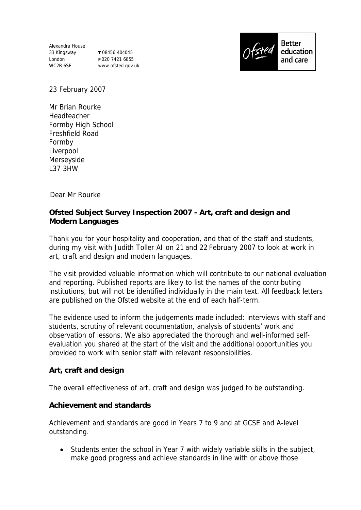Alexandra House 33 Kingsway London WC2B 6SE

**T** 08456 404045 **F** 020 7421 6855 www.ofsted.gov.uk



**Better** education and care

23 February 2007

Mr Brian Rourke Headteacher Formby High School Freshfield Road Formby Liverpool Merseyside L37 3HW

Dear Mr Rourke

**Ofsted Subject Survey Inspection 2007 - Art, craft and design and Modern Languages** 

Thank you for your hospitality and cooperation, and that of the staff and students, during my visit with Judith Toller AI on 21 and 22 February 2007 to look at work in art, craft and design and modern languages.

The visit provided valuable information which will contribute to our national evaluation and reporting. Published reports are likely to list the names of the contributing institutions, but will not be identified individually in the main text. All feedback letters are published on the Ofsted website at the end of each half-term.

The evidence used to inform the judgements made included: interviews with staff and students, scrutiny of relevant documentation, analysis of students' work and observation of lessons. We also appreciated the thorough and well-informed selfevaluation you shared at the start of the visit and the additional opportunities you provided to work with senior staff with relevant responsibilities.

**Art, craft and design**

The overall effectiveness of art, craft and design was judged to be outstanding.

**Achievement and standards**

Achievement and standards are good in Years 7 to 9 and at GCSE and A-level outstanding.

 Students enter the school in Year 7 with widely variable skills in the subject, make good progress and achieve standards in line with or above those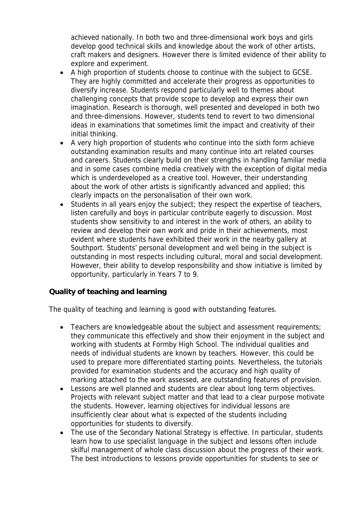achieved nationally. In both two and three-dimensional work boys and girls develop good technical skills and knowledge about the work of other artists, craft makers and designers. However there is limited evidence of their ability to explore and experiment.

- A high proportion of students choose to continue with the subject to GCSE. They are highly committed and accelerate their progress as opportunities to diversify increase. Students respond particularly well to themes about challenging concepts that provide scope to develop and express their own imagination. Research is thorough, well presented and developed in both two and three-dimensions. However, students tend to revert to two dimensional ideas in examinations that sometimes limit the impact and creativity of their initial thinking.
- A very high proportion of students who continue into the sixth form achieve outstanding examination results and many continue into art related courses and careers. Students clearly build on their strengths in handling familiar media and in some cases combine media creatively with the exception of digital media which is underdeveloped as a creative tool. However, their understanding about the work of other artists is significantly advanced and applied; this clearly impacts on the personalisation of their own work.
- Students in all years enjoy the subject; they respect the expertise of teachers, listen carefully and boys in particular contribute eagerly to discussion. Most students show sensitivity to and interest in the work of others, an ability to review and develop their own work and pride in their achievements, most evident where students have exhibited their work in the nearby gallery at Southport. Students' personal development and well being in the subject is outstanding in most respects including cultural, moral and social development. However, their ability to develop responsibility and show initiative is limited by opportunity, particularly in Years 7 to 9.

## **Quality of teaching and learning**

The quality of teaching and learning is good with outstanding features.

- Teachers are knowledgeable about the subject and assessment requirements; they communicate this effectively and show their enjoyment in the subject and working with students at Formby High School. The individual qualities and needs of individual students are known by teachers. However, this could be used to prepare more differentiated starting points. Nevertheless, the tutorials provided for examination students and the accuracy and high quality of marking attached to the work assessed, are outstanding features of provision.
- Lessons are well planned and students are clear about long term objectives. Projects with relevant subject matter and that lead to a clear purpose motivate the students. However, learning objectives for individual lessons are insufficiently clear about what is expected of the students including opportunities for students to diversify.
- The use of the Secondary National Strategy is effective. In particular, students learn how to use specialist language in the subject and lessons often include skilful management of whole class discussion about the progress of their work. The best introductions to lessons provide opportunities for students to see or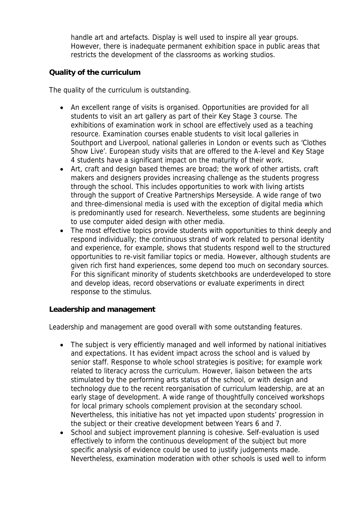handle art and artefacts. Display is well used to inspire all year groups. However, there is inadequate permanent exhibition space in public areas that restricts the development of the classrooms as working studios.

## **Quality of the curriculum**

The quality of the curriculum is outstanding.

- An excellent range of visits is organised. Opportunities are provided for all students to visit an art gallery as part of their Key Stage 3 course. The exhibitions of examination work in school are effectively used as a teaching resource. Examination courses enable students to visit local galleries in Southport and Liverpool, national galleries in London or events such as 'Clothes Show Live'. European study visits that are offered to the A-level and Key Stage 4 students have a significant impact on the maturity of their work.
- Art, craft and design based themes are broad; the work of other artists, craft makers and designers provides increasing challenge as the students progress through the school. This includes opportunities to work with living artists through the support of Creative Partnerships Merseyside. A wide range of two and three-dimensional media is used with the exception of digital media which is predominantly used for research. Nevertheless, some students are beginning to use computer aided design with other media.
- The most effective topics provide students with opportunities to think deeply and respond individually; the continuous strand of work related to personal identity and experience, for example, shows that students respond well to the structured opportunities to re-visit familiar topics or media. However, although students are given rich first hand experiences, some depend too much on secondary sources. For this significant minority of students sketchbooks are underdeveloped to store and develop ideas, record observations or evaluate experiments in direct response to the stimulus.

**Leadership and management**

Leadership and management are good overall with some outstanding features.

- The subject is very efficiently managed and well informed by national initiatives and expectations. It has evident impact across the school and is valued by senior staff. Response to whole school strategies is positive; for example work related to literacy across the curriculum. However, liaison between the arts stimulated by the performing arts status of the school, or with design and technology due to the recent reorganisation of curriculum leadership, are at an early stage of development. A wide range of thoughtfully conceived workshops for local primary schools complement provision at the secondary school. Nevertheless, this initiative has not yet impacted upon students' progression in the subject or their creative development between Years 6 and 7.
- School and subject improvement planning is cohesive. Self-evaluation is used effectively to inform the continuous development of the subject but more specific analysis of evidence could be used to justify judgements made. Nevertheless, examination moderation with other schools is used well to inform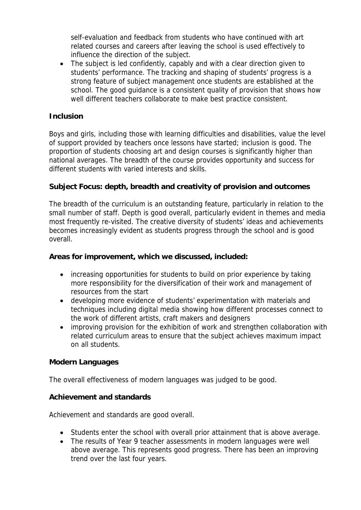self-evaluation and feedback from students who have continued with art related courses and careers after leaving the school is used effectively to influence the direction of the subject.

• The subject is led confidently, capably and with a clear direction given to students' performance. The tracking and shaping of students' progress is a strong feature of subject management once students are established at the school. The good guidance is a consistent quality of provision that shows how well different teachers collaborate to make best practice consistent.

### **Inclusion**

Boys and girls, including those with learning difficulties and disabilities, value the level of support provided by teachers once lessons have started; inclusion is good. The proportion of students choosing art and design courses is significantly higher than national averages. The breadth of the course provides opportunity and success for different students with varied interests and skills.

**Subject Focus: depth, breadth and creativity of provision and outcomes**

The breadth of the curriculum is an outstanding feature, particularly in relation to the small number of staff. Depth is good overall, particularly evident in themes and media most frequently re-visited. The creative diversity of students' ideas and achievements becomes increasingly evident as students progress through the school and is good overall.

**Areas for improvement, which we discussed, included:**

- increasing opportunities for students to build on prior experience by taking more responsibility for the diversification of their work and management of resources from the start
- developing more evidence of students' experimentation with materials and techniques including digital media showing how different processes connect to the work of different artists, craft makers and designers
- improving provision for the exhibition of work and strengthen collaboration with related curriculum areas to ensure that the subject achieves maximum impact on all students.

#### **Modern Languages**

The overall effectiveness of modern languages was judged to be good.

**Achievement and standards**

Achievement and standards are good overall.

- Students enter the school with overall prior attainment that is above average.
- The results of Year 9 teacher assessments in modern languages were well above average. This represents good progress. There has been an improving trend over the last four years.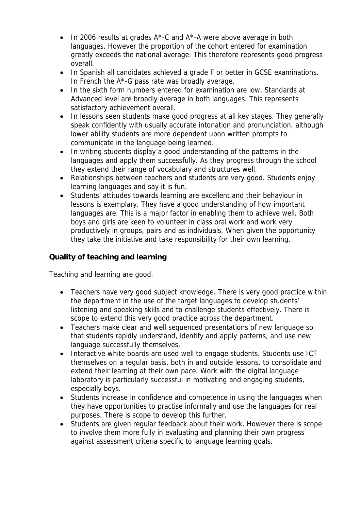- In 2006 results at grades A<sup>\*</sup>-C and A<sup>\*</sup>-A were above average in both languages. However the proportion of the cohort entered for examination greatly exceeds the national average. This therefore represents good progress overall.
- In Spanish all candidates achieved a grade F or better in GCSE examinations. In French the  $A^*$ -G pass rate was broadly average.
- In the sixth form numbers entered for examination are low. Standards at Advanced level are broadly average in both languages. This represents satisfactory achievement overall.
- In lessons seen students make good progress at all key stages. They generally speak confidently with usually accurate intonation and pronunciation, although lower ability students are more dependent upon written prompts to communicate in the language being learned.
- In writing students display a good understanding of the patterns in the languages and apply them successfully. As they progress through the school they extend their range of vocabulary and structures well.
- Relationships between teachers and students are very good. Students enjoy learning languages and say it is fun.
- Students' attitudes towards learning are excellent and their behaviour in lessons is exemplary. They have a good understanding of how important languages are. This is a major factor in enabling them to achieve well. Both boys and girls are keen to volunteer in class oral work and work very productively in groups, pairs and as individuals. When given the opportunity they take the initiative and take responsibility for their own learning.

# **Quality of teaching and learning**

Teaching and learning are good.

- Teachers have very good subject knowledge. There is very good practice within the department in the use of the target languages to develop students' listening and speaking skills and to challenge students effectively. There is scope to extend this very good practice across the department.
- Teachers make clear and well sequenced presentations of new language so that students rapidly understand, identify and apply patterns, and use new language successfully themselves.
- Interactive white boards are used well to engage students. Students use ICT themselves on a regular basis, both in and outside lessons, to consolidate and extend their learning at their own pace. Work with the digital language laboratory is particularly successful in motivating and engaging students, especially boys.
- Students increase in confidence and competence in using the languages when they have opportunities to practise informally and use the languages for real purposes. There is scope to develop this further.
- Students are given regular feedback about their work. However there is scope to involve them more fully in evaluating and planning their own progress against assessment criteria specific to language learning goals.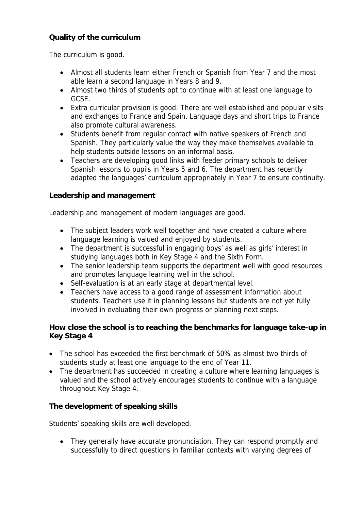## **Quality of the curriculum**

The curriculum is good.

- Almost all students learn either French or Spanish from Year 7 and the most able learn a second language in Years 8 and 9.
- Almost two thirds of students opt to continue with at least one language to GCSE.
- Extra curricular provision is good. There are well established and popular visits and exchanges to France and Spain. Language days and short trips to France also promote cultural awareness.
- Students benefit from regular contact with native speakers of French and Spanish. They particularly value the way they make themselves available to help students outside lessons on an informal basis.
- Teachers are developing good links with feeder primary schools to deliver Spanish lessons to pupils in Years 5 and 6. The department has recently adapted the languages' curriculum appropriately in Year 7 to ensure continuity.

**Leadership and management**

Leadership and management of modern languages are good.

- The subject leaders work well together and have created a culture where language learning is valued and enjoyed by students.
- The department is successful in engaging boys' as well as girls' interest in studying languages both in Key Stage 4 and the Sixth Form.
- The senior leadership team supports the department well with good resources and promotes language learning well in the school.
- Self-evaluation is at an early stage at departmental level.
- Teachers have access to a good range of assessment information about students. Teachers use it in planning lessons but students are not yet fully involved in evaluating their own progress or planning next steps.

**How close the school is to reaching the benchmarks for language take-up in Key Stage 4**

- The school has exceeded the first benchmark of 50% as almost two thirds of students study at least one language to the end of Year 11.
- The department has succeeded in creating a culture where learning languages is valued and the school actively encourages students to continue with a language throughout Key Stage 4.

**The development of speaking skills**

Students' speaking skills are well developed.

• They generally have accurate pronunciation. They can respond promptly and successfully to direct questions in familiar contexts with varying degrees of